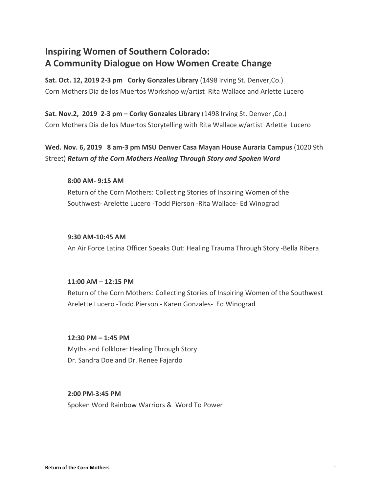# **Inspiring Women of Southern Colorado: A Community Dialogue on How Women Create Change**

**Sat. Oct. 12, 2019 2-3 pm Corky Gonzales Library** (1498 Irving St. Denver,Co.) Corn Mothers Dia de los Muertos Workshop w/artist Rita Wallace and Arlette Lucero

**Sat. Nov.2, 2019 2-3 pm – Corky Gonzales Library** (1498 Irving St. Denver ,Co.) Corn Mothers Dia de los Muertos Storytelling with Rita Wallace w/artist Arlette Lucero

**Wed. Nov. 6, 2019 8 am-3 pm MSU Denver Casa Mayan House Auraria Campus** (1020 9th Street) *Return of the Corn Mothers Healing Through Story and Spoken Word*

## **8:00 AM- 9:15 AM**

Return of the Corn Mothers: Collecting Stories of Inspiring Women of the Southwest- Arelette Lucero -Todd Pierson -Rita Wallace- Ed Winograd

## **9:30 AM-10:45 AM**

An Air Force Latina Officer Speaks Out: Healing Trauma Through Story -Bella Ribera

# **11:00 AM – 12:15 PM**

Return of the Corn Mothers: Collecting Stories of Inspiring Women of the Southwest Arelette Lucero -Todd Pierson - Karen Gonzales- Ed Winograd

## **12:30 PM – 1:45 PM**

Myths and Folklore: Healing Through Story Dr. Sandra Doe and Dr. Renee Fajardo

# **2:00 PM-3:45 PM**

Spoken Word Rainbow Warriors & Word To Power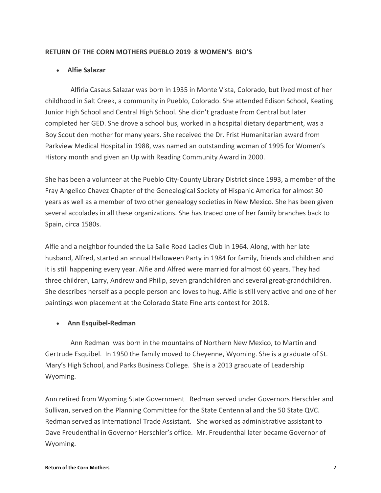## **RETURN OF THE CORN MOTHERS PUEBLO 2019 8 WOMEN'S BIO'S**

# • **Alfie Salazar**

 Alfiria Casaus Salazar was born in 1935 in Monte Vista, Colorado, but lived most of her childhood in Salt Creek, a community in Pueblo, Colorado. She attended Edison School, Keating Junior High School and Central High School. She didn't graduate from Central but later completed her GED. She drove a school bus, worked in a hospital dietary department, was a Boy Scout den mother for many years. She received the Dr. Frist Humanitarian award from Parkview Medical Hospital in 1988, was named an outstanding woman of 1995 for Women's History month and given an Up with Reading Community Award in 2000.

She has been a volunteer at the Pueblo City-County Library District since 1993, a member of the Fray Angelico Chavez Chapter of the Genealogical Society of Hispanic America for almost 30 years as well as a member of two other genealogy societies in New Mexico. She has been given several accolades in all these organizations. She has traced one of her family branches back to Spain, circa 1580s.

Alfie and a neighbor founded the La Salle Road Ladies Club in 1964. Along, with her late husband, Alfred, started an annual Halloween Party in 1984 for family, friends and children and it is still happening every year. Alfie and Alfred were married for almost 60 years. They had three children, Larry, Andrew and Philip, seven grandchildren and several great-grandchildren. She describes herself as a people person and loves to hug. Alfie is still very active and one of her paintings won placement at the Colorado State Fine arts contest for 2018.

# • **Ann Esquibel-Redman**

 Ann Redman was born in the mountains of Northern New Mexico, to Martin and Gertrude Esquibel. In 1950 the family moved to Cheyenne, Wyoming. She is a graduate of St. Mary's High School, and Parks Business College. She is a 2013 graduate of Leadership Wyoming.

Ann retired from Wyoming State Government Redman served under Governors Herschler and Sullivan, served on the Planning Committee for the State Centennial and the 50 State QVC. Redman served as International Trade Assistant. She worked as administrative assistant to Dave Freudenthal in Governor Herschler's office. Mr. Freudenthal later became Governor of Wyoming.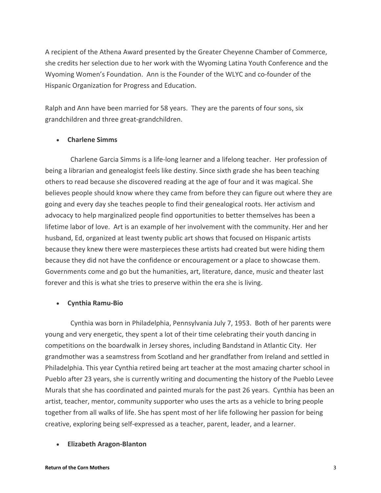A recipient of the Athena Award presented by the Greater Cheyenne Chamber of Commerce, she credits her selection due to her work with the Wyoming Latina Youth Conference and the Wyoming Women's Foundation. Ann is the Founder of the WLYC and co-founder of the Hispanic Organization for Progress and Education.

Ralph and Ann have been married for 58 years. They are the parents of four sons, six grandchildren and three great-grandchildren.

## • **Charlene Simms**

 Charlene Garcia Simms is a life-long learner and a lifelong teacher. Her profession of being a librarian and genealogist feels like destiny. Since sixth grade she has been teaching others to read because she discovered reading at the age of four and it was magical. She believes people should know where they came from before they can figure out where they are going and every day she teaches people to find their genealogical roots. Her activism and advocacy to help marginalized people find opportunities to better themselves has been a lifetime labor of love. Art is an example of her involvement with the community. Her and her husband, Ed, organized at least twenty public art shows that focused on Hispanic artists because they knew there were masterpieces these artists had created but were hiding them because they did not have the confidence or encouragement or a place to showcase them. Governments come and go but the humanities, art, literature, dance, music and theater last forever and this is what she tries to preserve within the era she is living.

## • **Cynthia Ramu-Bio**

 Cynthia was born in Philadelphia, Pennsylvania July 7, 1953. Both of her parents were young and very energetic, they spent a lot of their time celebrating their youth dancing in competitions on the boardwalk in Jersey shores, including Bandstand in Atlantic City. Her grandmother was a seamstress from Scotland and her grandfather from Ireland and settled in Philadelphia. This year Cynthia retired being art teacher at the most amazing charter school in Pueblo after 23 years, she is currently writing and documenting the history of the Pueblo Levee Murals that she has coordinated and painted murals for the past 26 years. Cynthia has been an artist, teacher, mentor, community supporter who uses the arts as a vehicle to bring people together from all walks of life. She has spent most of her life following her passion for being creative, exploring being self-expressed as a teacher, parent, leader, and a learner.

## • **Elizabeth Aragon-Blanton**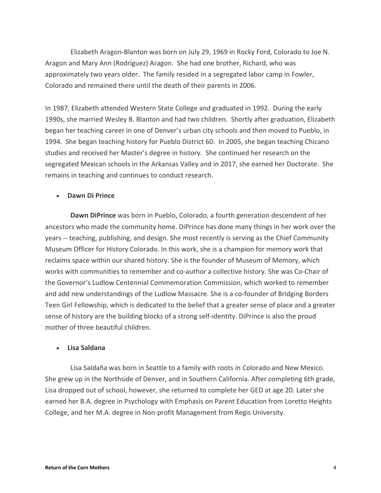Elizabeth Aragon-Blanton was born on July 29, 1969 in Rocky Ford, Colorado to Joe N. Aragon and Mary Ann (Rodriguez) Aragon. She had one brother, Richard, who was approximately two years older. The family resided in a segregated labor camp in Fowler, Colorado and remained there until the death of their parents in 2006.

In 1987, Elizabeth attended Western State College and graduated in 1992. During the early 1990s, she married Wesley B. Blanton and had two children. Shortly after graduation, Elizabeth began her teaching career in one of Denver's urban city schools and then moved to Pueblo, in 1994. She began teaching history for Pueblo District 60. In 2005, she began teaching Chicano studies and received her Master's degree in history. She continued her research on the segregated Mexican schools in the Arkansas Valley and in 2017, she earned her Doctorate. She remains in teaching and continues to conduct research.

#### • **Dawn Di Prince**

 **Dawn DiPrince** was born in Pueblo, Colorado, a fourth generation descendent of her ancestors who made the community home. DiPrince has done many things in her work over the years -- teaching, publishing, and design. She most recently is serving as the Chief Community Museum Officer for History Colorado. In this work, she is a champion for memory work that reclaims space within our shared history. She is the founder of Museum of Memory, which works with communities to remember and co-author a collective history. She was Co-Chair of the Governor's Ludlow Centennial Commemoration Commission, which worked to remember and add new understandings of the Ludlow Massacre. She is a co-founder of Bridging Borders Teen Girl Fellowship, which is dedicated to the belief that a greater sense of place and a greater sense of history are the building blocks of a strong self-identity. DiPrince is also the proud mother of three beautiful children.

#### • **Lisa Saldana**

 Lisa Saldaña was born in Seattle to a family with roots in Colorado and New Mexico. She grew up in the Northside of Denver, and in Southern California. After completing 6th grade, Lisa dropped out of school, however, she returned to complete her GED at age 20. Later she earned her B.A. degree in Psychology with Emphasis on Parent Education from Loretto Heights College, and her M.A. degree in Non-profit Management from Regis University.